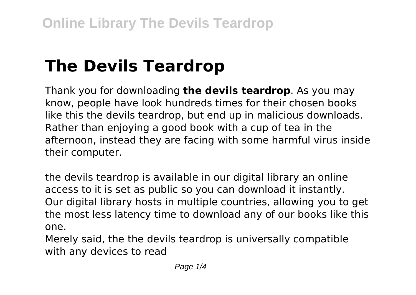# **The Devils Teardrop**

Thank you for downloading **the devils teardrop**. As you may know, people have look hundreds times for their chosen books like this the devils teardrop, but end up in malicious downloads. Rather than enjoying a good book with a cup of tea in the afternoon, instead they are facing with some harmful virus inside their computer.

the devils teardrop is available in our digital library an online access to it is set as public so you can download it instantly. Our digital library hosts in multiple countries, allowing you to get the most less latency time to download any of our books like this one.

Merely said, the the devils teardrop is universally compatible with any devices to read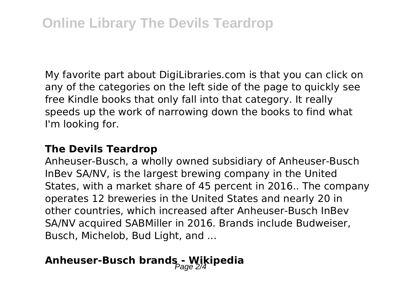My favorite part about DigiLibraries.com is that you can click on any of the categories on the left side of the page to quickly see free Kindle books that only fall into that category. It really speeds up the work of narrowing down the books to find what I'm looking for.

#### **The Devils Teardrop**

Anheuser-Busch, a wholly owned subsidiary of Anheuser-Busch InBev SA/NV, is the largest brewing company in the United States, with a market share of 45 percent in 2016.. The company operates 12 breweries in the United States and nearly 20 in other countries, which increased after Anheuser-Busch InBev SA/NV acquired SABMiller in 2016. Brands include Budweiser, Busch, Michelob, Bud Light, and ...

### Anheuser-Busch brands - Wikipedia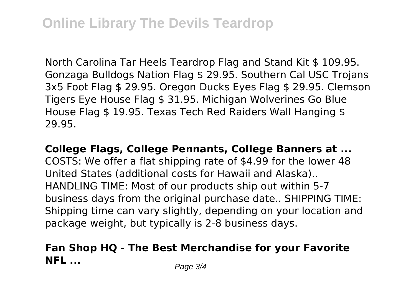North Carolina Tar Heels Teardrop Flag and Stand Kit \$ 109.95. Gonzaga Bulldogs Nation Flag \$ 29.95. Southern Cal USC Trojans 3x5 Foot Flag \$ 29.95. Oregon Ducks Eyes Flag \$ 29.95. Clemson Tigers Eye House Flag \$ 31.95. Michigan Wolverines Go Blue House Flag \$ 19.95. Texas Tech Red Raiders Wall Hanging \$ 29.95.

**College Flags, College Pennants, College Banners at ...** COSTS: We offer a flat shipping rate of \$4.99 for the lower 48 United States (additional costs for Hawaii and Alaska).. HANDLING TIME: Most of our products ship out within 5-7 business days from the original purchase date.. SHIPPING TIME: Shipping time can vary slightly, depending on your location and package weight, but typically is 2-8 business days.

#### **Fan Shop HQ - The Best Merchandise for your Favorite NFL** ... *Page 3/4*